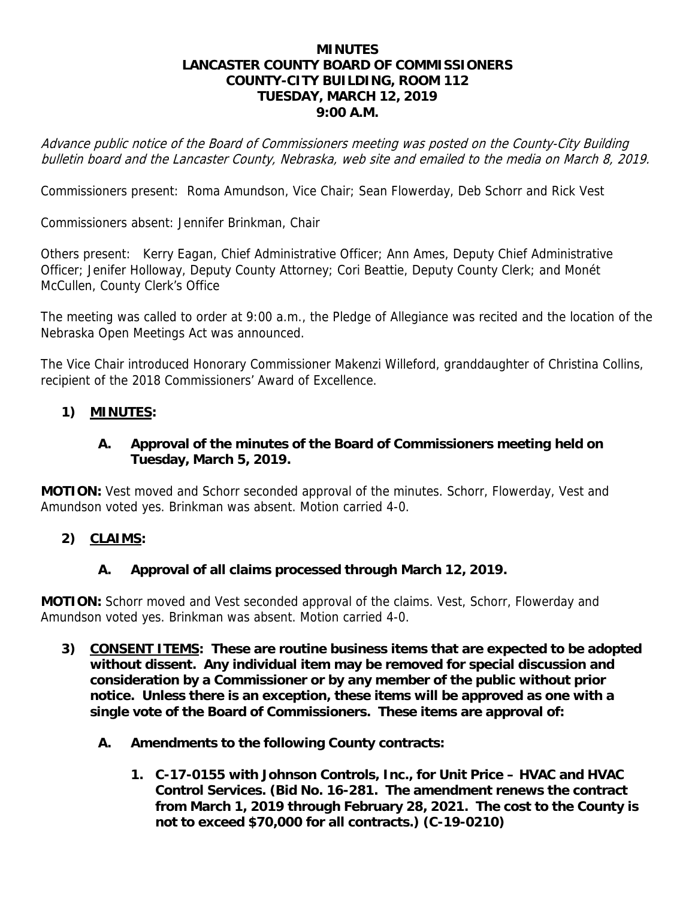#### **MINUTES LANCASTER COUNTY BOARD OF COMMISSIONERS COUNTY-CITY BUILDING, ROOM 112 TUESDAY, MARCH 12, 2019 9:00 A.M.**

Advance public notice of the Board of Commissioners meeting was posted on the County-City Building bulletin board and the Lancaster County, Nebraska, web site and emailed to the media on March 8, 2019.

Commissioners present: Roma Amundson, Vice Chair; Sean Flowerday, Deb Schorr and Rick Vest

Commissioners absent: Jennifer Brinkman, Chair

Others present: Kerry Eagan, Chief Administrative Officer; Ann Ames, Deputy Chief Administrative Officer; Jenifer Holloway, Deputy County Attorney; Cori Beattie, Deputy County Clerk; and Monét McCullen, County Clerk's Office

The meeting was called to order at 9:00 a.m., the Pledge of Allegiance was recited and the location of the Nebraska Open Meetings Act was announced.

The Vice Chair introduced Honorary Commissioner Makenzi Willeford, granddaughter of Christina Collins, recipient of the 2018 Commissioners' Award of Excellence.

#### **1) MINUTES:**

#### **A. Approval of the minutes of the Board of Commissioners meeting held on Tuesday, March 5, 2019.**

**MOTION:** Vest moved and Schorr seconded approval of the minutes. Schorr, Flowerday, Vest and Amundson voted yes. Brinkman was absent. Motion carried 4-0.

#### **2) CLAIMS:**

#### **A. Approval of all claims processed through March 12, 2019.**

**MOTION:** Schorr moved and Vest seconded approval of the claims. Vest, Schorr, Flowerday and Amundson voted yes. Brinkman was absent. Motion carried 4-0.

- **3) CONSENT ITEMS: These are routine business items that are expected to be adopted without dissent. Any individual item may be removed for special discussion and consideration by a Commissioner or by any member of the public without prior notice. Unless there is an exception, these items will be approved as one with a single vote of the Board of Commissioners. These items are approval of:** 
	- **A. Amendments to the following County contracts:** 
		- **1. C-17-0155 with Johnson Controls, Inc., for Unit Price HVAC and HVAC Control Services. (Bid No. 16-281. The amendment renews the contract from March 1, 2019 through February 28, 2021. The cost to the County is not to exceed \$70,000 for all contracts.) (C-19-0210)**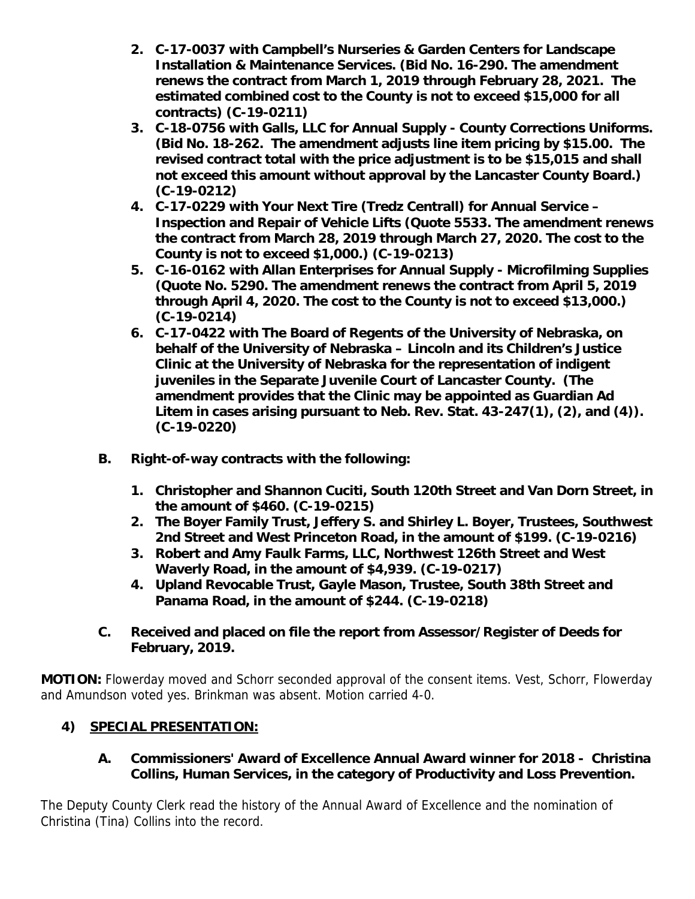- **2. C-17-0037 with Campbell's Nurseries & Garden Centers for Landscape Installation & Maintenance Services. (Bid No. 16-290. The amendment renews the contract from March 1, 2019 through February 28, 2021. The estimated combined cost to the County is not to exceed \$15,000 for all contracts) (C-19-0211)**
- **3. C-18-0756 with Galls, LLC for Annual Supply County Corrections Uniforms. (Bid No. 18-262. The amendment adjusts line item pricing by \$15.00. The revised contract total with the price adjustment is to be \$15,015 and shall not exceed this amount without approval by the Lancaster County Board.) (C-19-0212)**
- **4. C-17-0229 with Your Next Tire (Tredz Centrall) for Annual Service Inspection and Repair of Vehicle Lifts (Quote 5533. The amendment renews the contract from March 28, 2019 through March 27, 2020. The cost to the County is not to exceed \$1,000.) (C-19-0213)**
- **5. C-16-0162 with Allan Enterprises for Annual Supply Microfilming Supplies (Quote No. 5290. The amendment renews the contract from April 5, 2019 through April 4, 2020. The cost to the County is not to exceed \$13,000.) (C-19-0214)**
- **6. C-17-0422 with The Board of Regents of the University of Nebraska, on behalf of the University of Nebraska – Lincoln and its Children's Justice Clinic at the University of Nebraska for the representation of indigent juveniles in the Separate Juvenile Court of Lancaster County. (The amendment provides that the Clinic may be appointed as Guardian Ad Litem in cases arising pursuant to Neb. Rev. Stat. 43-247(1), (2), and (4)). (C-19-0220)**
- **B. Right-of-way contracts with the following:** 
	- **1. Christopher and Shannon Cuciti, South 120th Street and Van Dorn Street, in the amount of \$460. (C-19-0215)**
	- **2. The Boyer Family Trust, Jeffery S. and Shirley L. Boyer, Trustees, Southwest 2nd Street and West Princeton Road, in the amount of \$199. (C-19-0216)**
	- **3. Robert and Amy Faulk Farms, LLC, Northwest 126th Street and West Waverly Road, in the amount of \$4,939. (C-19-0217)**
	- **4. Upland Revocable Trust, Gayle Mason, Trustee, South 38th Street and Panama Road, in the amount of \$244. (C-19-0218)**
- **C. Received and placed on file the report from Assessor/Register of Deeds for February, 2019.**

**MOTION:** Flowerday moved and Schorr seconded approval of the consent items. Vest, Schorr, Flowerday and Amundson voted yes. Brinkman was absent. Motion carried 4-0.

## **4) SPECIAL PRESENTATION:**

## **A. Commissioners' Award of Excellence Annual Award winner for 2018 - Christina Collins, Human Services, in the category of Productivity and Loss Prevention.**

The Deputy County Clerk read the history of the Annual Award of Excellence and the nomination of Christina (Tina) Collins into the record.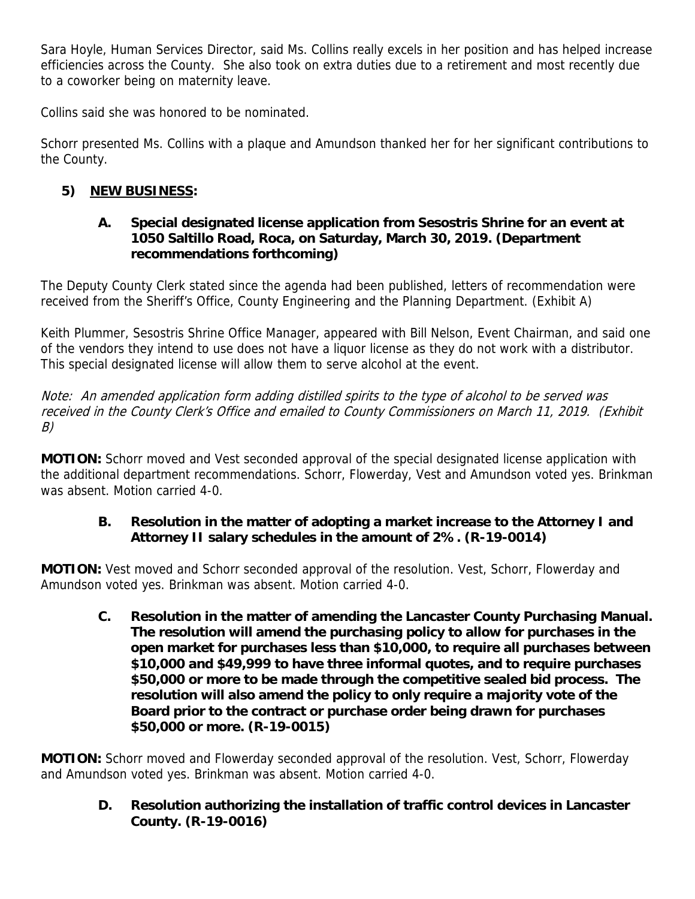Sara Hoyle, Human Services Director, said Ms. Collins really excels in her position and has helped increase efficiencies across the County. She also took on extra duties due to a retirement and most recently due to a coworker being on maternity leave.

Collins said she was honored to be nominated.

Schorr presented Ms. Collins with a plaque and Amundson thanked her for her significant contributions to the County.

# **5) NEW BUSINESS:**

## **A. Special designated license application from Sesostris Shrine for an event at 1050 Saltillo Road, Roca, on Saturday, March 30, 2019. (Department recommendations forthcoming)**

The Deputy County Clerk stated since the agenda had been published, letters of recommendation were received from the Sheriff's Office, County Engineering and the Planning Department. (Exhibit A)

Keith Plummer, Sesostris Shrine Office Manager, appeared with Bill Nelson, Event Chairman, and said one of the vendors they intend to use does not have a liquor license as they do not work with a distributor. This special designated license will allow them to serve alcohol at the event.

Note: An amended application form adding distilled spirits to the type of alcohol to be served was received in the County Clerk's Office and emailed to County Commissioners on March 11, 2019. (Exhibit B)

**MOTION:** Schorr moved and Vest seconded approval of the special designated license application with the additional department recommendations. Schorr, Flowerday, Vest and Amundson voted yes. Brinkman was absent. Motion carried 4-0.

## **B. Resolution in the matter of adopting a market increase to the Attorney I and Attorney II salary schedules in the amount of 2%. (R-19-0014)**

**MOTION:** Vest moved and Schorr seconded approval of the resolution. Vest, Schorr, Flowerday and Amundson voted yes. Brinkman was absent. Motion carried 4-0.

**C. Resolution in the matter of amending the Lancaster County Purchasing Manual. The resolution will amend the purchasing policy to allow for purchases in the open market for purchases less than \$10,000, to require all purchases between \$10,000 and \$49,999 to have three informal quotes, and to require purchases \$50,000 or more to be made through the competitive sealed bid process. The resolution will also amend the policy to only require a majority vote of the Board prior to the contract or purchase order being drawn for purchases \$50,000 or more. (R-19-0015)** 

**MOTION:** Schorr moved and Flowerday seconded approval of the resolution. Vest, Schorr, Flowerday and Amundson voted yes. Brinkman was absent. Motion carried 4-0.

**D. Resolution authorizing the installation of traffic control devices in Lancaster County. (R-19-0016)**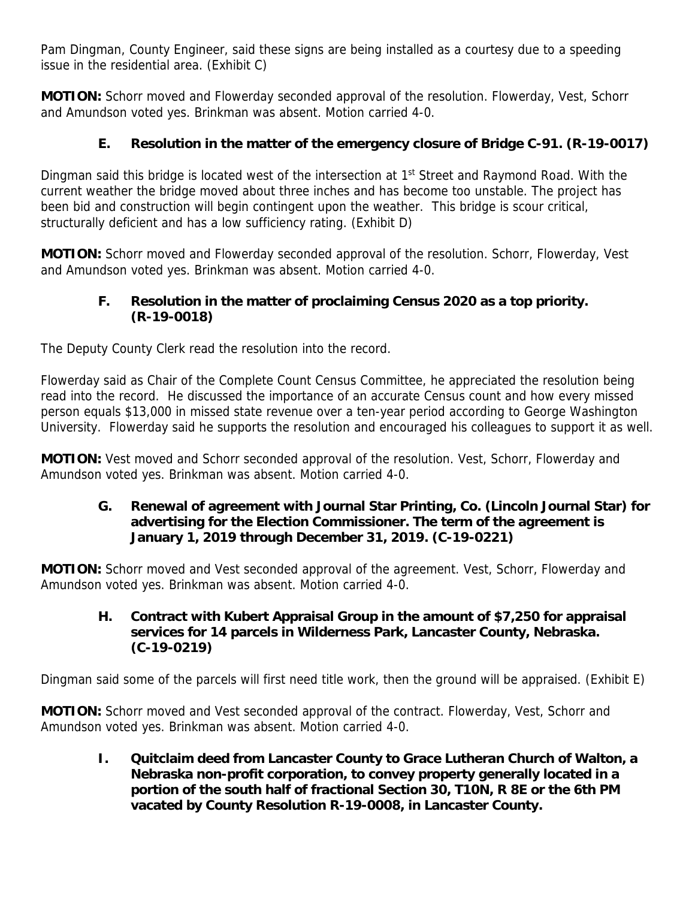Pam Dingman, County Engineer, said these signs are being installed as a courtesy due to a speeding issue in the residential area. (Exhibit C)

**MOTION:** Schorr moved and Flowerday seconded approval of the resolution. Flowerday, Vest, Schorr and Amundson voted yes. Brinkman was absent. Motion carried 4-0.

## **E. Resolution in the matter of the emergency closure of Bridge C-91. (R-19-0017)**

Dingman said this bridge is located west of the intersection at 1<sup>st</sup> Street and Raymond Road. With the current weather the bridge moved about three inches and has become too unstable. The project has been bid and construction will begin contingent upon the weather. This bridge is scour critical, structurally deficient and has a low sufficiency rating. (Exhibit D)

**MOTION:** Schorr moved and Flowerday seconded approval of the resolution. Schorr, Flowerday, Vest and Amundson voted yes. Brinkman was absent. Motion carried 4-0.

### **F. Resolution in the matter of proclaiming Census 2020 as a top priority. (R-19-0018)**

The Deputy County Clerk read the resolution into the record.

Flowerday said as Chair of the Complete Count Census Committee, he appreciated the resolution being read into the record. He discussed the importance of an accurate Census count and how every missed person equals \$13,000 in missed state revenue over a ten-year period according to George Washington University. Flowerday said he supports the resolution and encouraged his colleagues to support it as well.

**MOTION:** Vest moved and Schorr seconded approval of the resolution. Vest, Schorr, Flowerday and Amundson voted yes. Brinkman was absent. Motion carried 4-0.

**G. Renewal of agreement with Journal Star Printing, Co. (Lincoln Journal Star) for advertising for the Election Commissioner. The term of the agreement is January 1, 2019 through December 31, 2019. (C-19-0221)** 

**MOTION:** Schorr moved and Vest seconded approval of the agreement. Vest, Schorr, Flowerday and Amundson voted yes. Brinkman was absent. Motion carried 4-0.

**H. Contract with Kubert Appraisal Group in the amount of \$7,250 for appraisal services for 14 parcels in Wilderness Park, Lancaster County, Nebraska. (C-19-0219)** 

Dingman said some of the parcels will first need title work, then the ground will be appraised. (Exhibit E)

**MOTION:** Schorr moved and Vest seconded approval of the contract. Flowerday, Vest, Schorr and Amundson voted yes. Brinkman was absent. Motion carried 4-0.

**I. Quitclaim deed from Lancaster County to Grace Lutheran Church of Walton, a Nebraska non-profit corporation, to convey property generally located in a portion of the south half of fractional Section 30, T10N, R 8E or the 6th PM vacated by County Resolution R-19-0008, in Lancaster County.**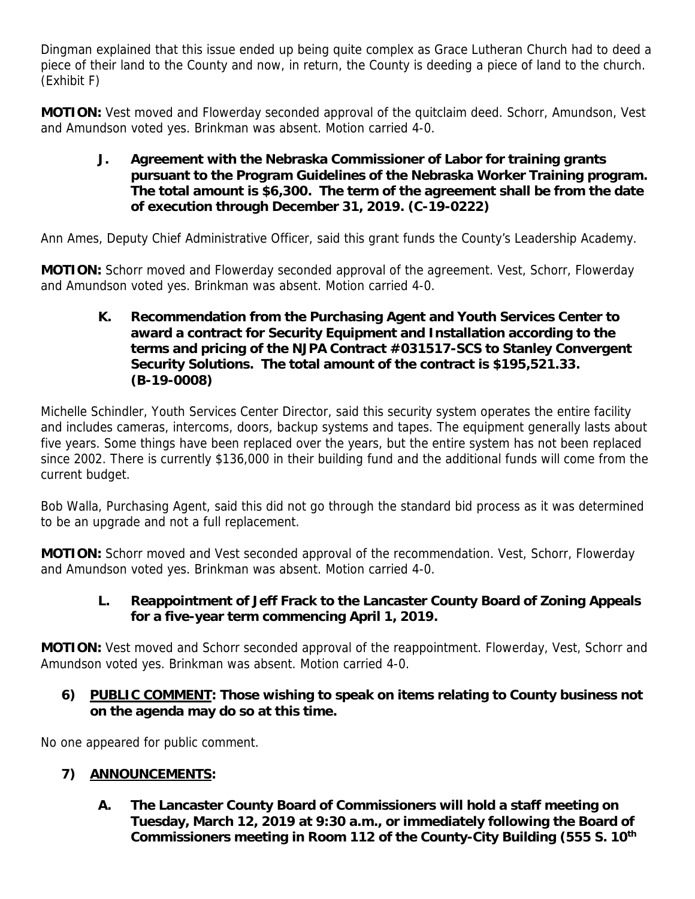Dingman explained that this issue ended up being quite complex as Grace Lutheran Church had to deed a piece of their land to the County and now, in return, the County is deeding a piece of land to the church. (Exhibit F)

**MOTION:** Vest moved and Flowerday seconded approval of the quitclaim deed. Schorr, Amundson, Vest and Amundson voted yes. Brinkman was absent. Motion carried 4-0.

**J. Agreement with the Nebraska Commissioner of Labor for training grants pursuant to the Program Guidelines of the Nebraska Worker Training program. The total amount is \$6,300. The term of the agreement shall be from the date of execution through December 31, 2019. (C-19-0222)** 

Ann Ames, Deputy Chief Administrative Officer, said this grant funds the County's Leadership Academy.

**MOTION:** Schorr moved and Flowerday seconded approval of the agreement. Vest, Schorr, Flowerday and Amundson voted yes. Brinkman was absent. Motion carried 4-0.

**K. Recommendation from the Purchasing Agent and Youth Services Center to award a contract for Security Equipment and Installation according to the terms and pricing of the NJPA Contract #031517-SCS to Stanley Convergent Security Solutions. The total amount of the contract is \$195,521.33. (B-19-0008)** 

Michelle Schindler, Youth Services Center Director, said this security system operates the entire facility and includes cameras, intercoms, doors, backup systems and tapes. The equipment generally lasts about five years. Some things have been replaced over the years, but the entire system has not been replaced since 2002. There is currently \$136,000 in their building fund and the additional funds will come from the current budget.

Bob Walla, Purchasing Agent, said this did not go through the standard bid process as it was determined to be an upgrade and not a full replacement.

**MOTION:** Schorr moved and Vest seconded approval of the recommendation. Vest, Schorr, Flowerday and Amundson voted yes. Brinkman was absent. Motion carried 4-0.

## **L. Reappointment of Jeff Frack to the Lancaster County Board of Zoning Appeals for a five-year term commencing April 1, 2019.**

**MOTION:** Vest moved and Schorr seconded approval of the reappointment. Flowerday, Vest, Schorr and Amundson voted yes. Brinkman was absent. Motion carried 4-0.

**6) PUBLIC COMMENT: Those wishing to speak on items relating to County business not on the agenda may do so at this time.** 

No one appeared for public comment.

## **7) ANNOUNCEMENTS:**

**A. The Lancaster County Board of Commissioners will hold a staff meeting on Tuesday, March 12, 2019 at 9:30 a.m., or immediately following the Board of Commissioners meeting in Room 112 of the County-City Building (555 S. 10th**